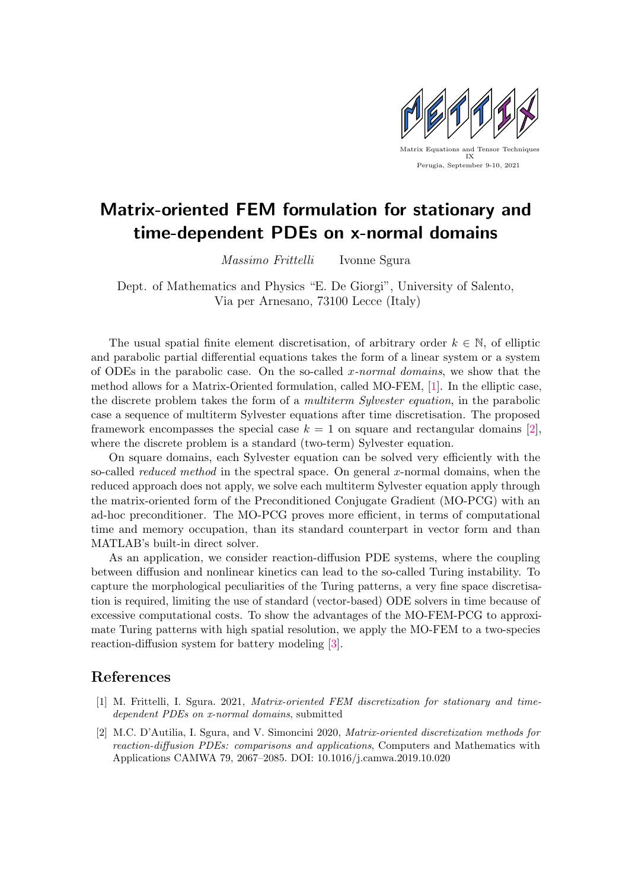

## Matrix-oriented FEM formulation for stationary and time-dependent PDEs on x-normal domains

Massimo Frittelli Ivonne Sgura

Dept. of Mathematics and Physics "E. De Giorgi", University of Salento, Via per Arnesano, 73100 Lecce (Italy)

The usual spatial finite element discretisation, of arbitrary order  $k \in \mathbb{N}$ , of elliptic and parabolic partial differential equations takes the form of a linear system or a system of ODEs in the parabolic case. On the so-called x-normal domains, we show that the method allows for a Matrix-Oriented formulation, called MO-FEM, [\[1\]](#page-0-0). In the elliptic case, the discrete problem takes the form of a multiterm Sylvester equation, in the parabolic case a sequence of multiterm Sylvester equations after time discretisation. The proposed framework encompasses the special case  $k = 1$  on square and rectangular domains [\[2\]](#page-0-1), where the discrete problem is a standard (two-term) Sylvester equation.

On square domains, each Sylvester equation can be solved very efficiently with the so-called *reduced method* in the spectral space. On general x-normal domains, when the reduced approach does not apply, we solve each multiterm Sylvester equation apply through the matrix-oriented form of the Preconditioned Conjugate Gradient (MO-PCG) with an ad-hoc preconditioner. The MO-PCG proves more efficient, in terms of computational time and memory occupation, than its standard counterpart in vector form and than MATLAB's built-in direct solver.

As an application, we consider reaction-diffusion PDE systems, where the coupling between diffusion and nonlinear kinetics can lead to the so-called Turing instability. To capture the morphological peculiarities of the Turing patterns, a very fine space discretisation is required, limiting the use of standard (vector-based) ODE solvers in time because of excessive computational costs. To show the advantages of the MO-FEM-PCG to approximate Turing patterns with high spatial resolution, we apply the MO-FEM to a two-species reaction-diffusion system for battery modeling [\[3\]](#page-1-0).

## References

- <span id="page-0-0"></span>[1] M. Frittelli, I. Sgura. 2021, Matrix-oriented FEM discretization for stationary and timedependent PDEs on x-normal domains, submitted
- <span id="page-0-1"></span>[2] M.C. D'Autilia, I. Sgura, and V. Simoncini 2020, Matrix-oriented discretization methods for reaction-diffusion PDEs: comparisons and applications, Computers and Mathematics with Applications CAMWA 79, 2067–2085. DOI: 10.1016/j.camwa.2019.10.020